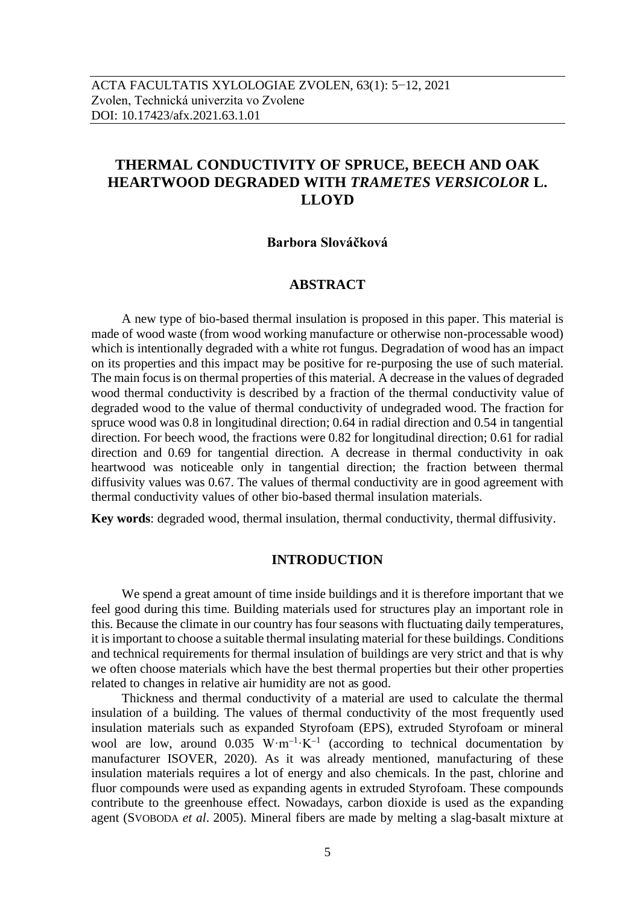# **THERMAL CONDUCTIVITY OF SPRUCE, BEECH AND OAK HEARTWOOD DEGRADED WITH** *TRAMETES VERSICOLOR* **L. LLOYD**

#### **Barbora Slováčková**

# **ABSTRACT**

A new type of bio-based thermal insulation is proposed in this paper. This material is made of wood waste (from wood working manufacture or otherwise non-processable wood) which is intentionally degraded with a white rot fungus. Degradation of wood has an impact on its properties and this impact may be positive for re-purposing the use of such material. The main focus is on thermal properties of this material. A decrease in the values of degraded wood thermal conductivity is described by a fraction of the thermal conductivity value of degraded wood to the value of thermal conductivity of undegraded wood. The fraction for spruce wood was 0.8 in longitudinal direction; 0.64 in radial direction and 0.54 in tangential direction. For beech wood, the fractions were 0.82 for longitudinal direction; 0.61 for radial direction and 0.69 for tangential direction. A decrease in thermal conductivity in oak heartwood was noticeable only in tangential direction; the fraction between thermal diffusivity values was 0.67. The values of thermal conductivity are in good agreement with thermal conductivity values of other bio-based thermal insulation materials.

**Key words**: degraded wood, thermal insulation, thermal conductivity, thermal diffusivity.

# **INTRODUCTION**

We spend a great amount of time inside buildings and it is therefore important that we feel good during this time. Building materials used for structures play an important role in this. Because the climate in our country has four seasons with fluctuating daily temperatures, it is important to choose a suitable thermal insulating material for these buildings. Conditions and technical requirements for thermal insulation of buildings are very strict and that is why we often choose materials which have the best thermal properties but their other properties related to changes in relative air humidity are not as good.

Thickness and thermal conductivity of a material are used to calculate the thermal insulation of a building. The values of thermal conductivity of the most frequently used insulation materials such as expanded Styrofoam (EPS), extruded Styrofoam or mineral wool are low, around 0.035 W·m<sup>-1</sup>·K<sup>-1</sup> (according to technical documentation by manufacturer ISOVER, 2020). As it was already mentioned, manufacturing of these insulation materials requires a lot of energy and also chemicals. In the past, chlorine and fluor compounds were used as expanding agents in extruded Styrofoam. These compounds contribute to the greenhouse effect. Nowadays, carbon dioxide is used as the expanding agent (SVOBODA *et al*. 2005). Mineral fibers are made by melting a slag-basalt mixture at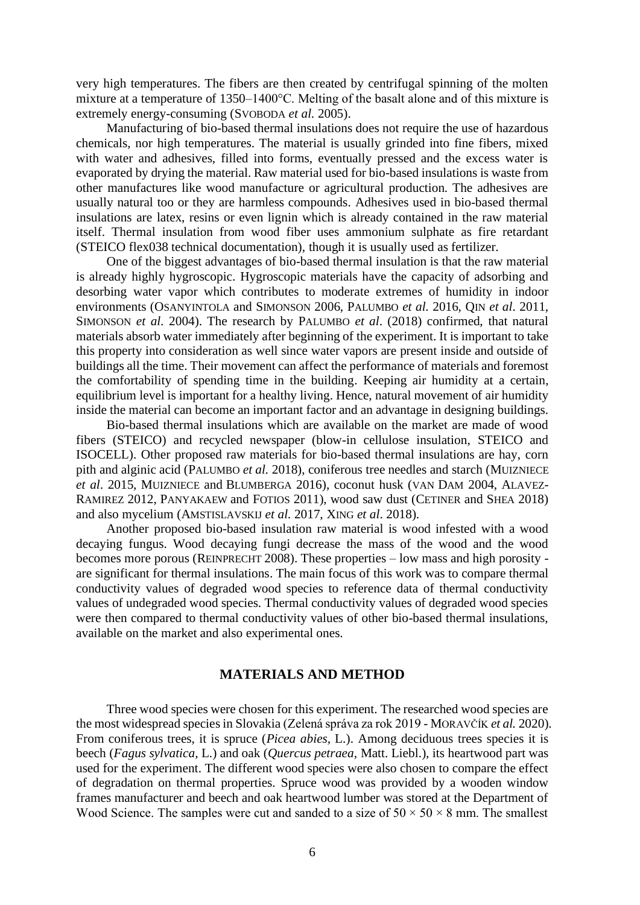very high temperatures. The fibers are then created by centrifugal spinning of the molten mixture at a temperature of 1350–1400°C. Melting of the basalt alone and of this mixture is extremely energy-consuming (SVOBODA *et al*. 2005).

Manufacturing of bio-based thermal insulations does not require the use of hazardous chemicals, nor high temperatures. The material is usually grinded into fine fibers, mixed with water and adhesives, filled into forms, eventually pressed and the excess water is evaporated by drying the material. Raw material used for bio-based insulations is waste from other manufactures like wood manufacture or agricultural production. The adhesives are usually natural too or they are harmless compounds. Adhesives used in bio-based thermal insulations are latex, resins or even lignin which is already contained in the raw material itself. Thermal insulation from wood fiber uses ammonium sulphate as fire retardant (STEICO flex038 technical documentation), though it is usually used as fertilizer.

One of the biggest advantages of bio-based thermal insulation is that the raw material is already highly hygroscopic. Hygroscopic materials have the capacity of adsorbing and desorbing water vapor which contributes to moderate extremes of humidity in indoor environments (OSANYINTOLA and SIMONSON 2006, PALUMBO *et al*. 2016, QIN *et al*. 2011, SIMONSON *et al*. 2004). The research by PALUMBO *et al*. (2018) confirmed, that natural materials absorb water immediately after beginning of the experiment. It is important to take this property into consideration as well since water vapors are present inside and outside of buildings all the time. Their movement can affect the performance of materials and foremost the comfortability of spending time in the building. Keeping air humidity at a certain, equilibrium level is important for a healthy living. Hence, natural movement of air humidity inside the material can become an important factor and an advantage in designing buildings.

Bio-based thermal insulations which are available on the market are made of wood fibers (STEICO) and recycled newspaper (blow-in cellulose insulation, STEICO and ISOCELL). Other proposed raw materials for bio-based thermal insulations are hay, corn pith and alginic acid (PALUMBO *et al*. 2018), coniferous tree needles and starch (MUIZNIECE *et al*. 2015, MUIZNIECE and BLUMBERGA 2016), coconut husk (VAN DAM 2004, ALAVEZ-RAMIREZ 2012, PANYAKAEW and FOTIOS 2011), wood saw dust (CETINER and SHEA 2018) and also mycelium (AMSTISLAVSKIJ *et al*. 2017, XING *et al*. 2018).

Another proposed bio-based insulation raw material is wood infested with a wood decaying fungus. Wood decaying fungi decrease the mass of the wood and the wood becomes more porous (REINPRECHT 2008). These properties – low mass and high porosity are significant for thermal insulations. The main focus of this work was to compare thermal conductivity values of degraded wood species to reference data of thermal conductivity values of undegraded wood species. Thermal conductivity values of degraded wood species were then compared to thermal conductivity values of other bio-based thermal insulations, available on the market and also experimental ones.

## **MATERIALS AND METHOD**

Three wood species were chosen for this experiment. The researched wood species are the most widespread species in Slovakia (Zelená správa za rok 2019 - MORAVČÍK *et al.* 2020). From coniferous trees, it is spruce (*Picea abies,* L.). Among deciduous trees species it is beech (*Fagus sylvatica,* L.) and oak (*Quercus petraea,* Matt. Liebl.), its heartwood part was used for the experiment. The different wood species were also chosen to compare the effect of degradation on thermal properties. Spruce wood was provided by a wooden window frames manufacturer and beech and oak heartwood lumber was stored at the Department of Wood Science. The samples were cut and sanded to a size of  $50 \times 50 \times 8$  mm. The smallest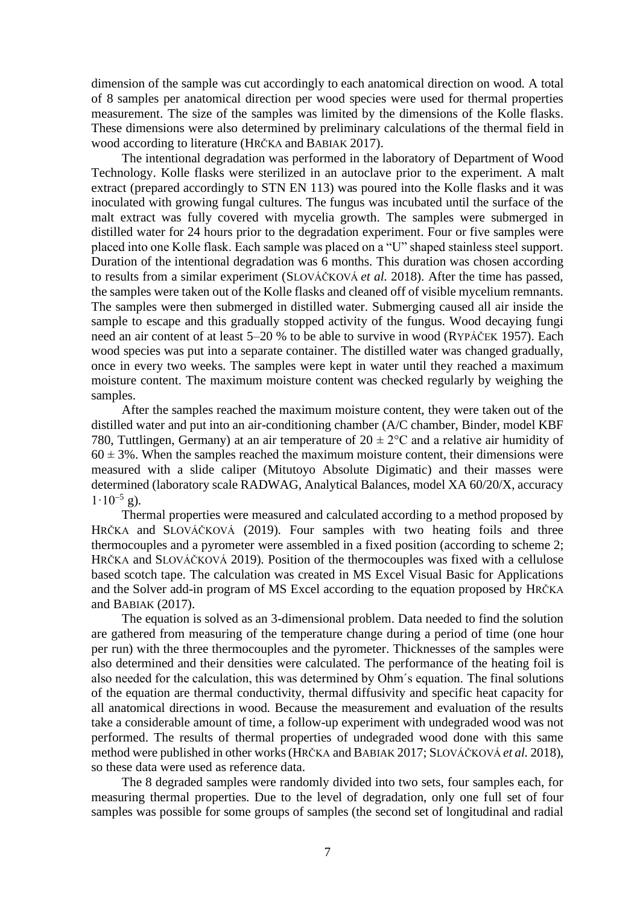dimension of the sample was cut accordingly to each anatomical direction on wood. A total of 8 samples per anatomical direction per wood species were used for thermal properties measurement. The size of the samples was limited by the dimensions of the Kolle flasks. These dimensions were also determined by preliminary calculations of the thermal field in wood according to literature (HRČKA and BABIAK 2017).

The intentional degradation was performed in the laboratory of Department of Wood Technology. Kolle flasks were sterilized in an autoclave prior to the experiment. A malt extract (prepared accordingly to STN EN 113) was poured into the Kolle flasks and it was inoculated with growing fungal cultures. The fungus was incubated until the surface of the malt extract was fully covered with mycelia growth. The samples were submerged in distilled water for 24 hours prior to the degradation experiment. Four or five samples were placed into one Kolle flask. Each sample was placed on a "U" shaped stainless steel support. Duration of the intentional degradation was 6 months. This duration was chosen according to results from a similar experiment (SLOVÁČKOVÁ *et al.* 2018). After the time has passed, the samples were taken out of the Kolle flasks and cleaned off of visible mycelium remnants. The samples were then submerged in distilled water. Submerging caused all air inside the sample to escape and this gradually stopped activity of the fungus. Wood decaying fungi need an air content of at least 5–20 % to be able to survive in wood (RYPÁČEK 1957). Each wood species was put into a separate container. The distilled water was changed gradually, once in every two weeks. The samples were kept in water until they reached a maximum moisture content. The maximum moisture content was checked regularly by weighing the samples.

After the samples reached the maximum moisture content, they were taken out of the distilled water and put into an air-conditioning chamber (A/C chamber, Binder, model KBF 780, Tuttlingen, Germany) at an air temperature of  $20 \pm 2^{\circ}$ C and a relative air humidity of  $60 \pm 3$ %. When the samples reached the maximum moisture content, their dimensions were measured with a slide caliper (Mitutoyo Absolute Digimatic) and their masses were determined (laboratory scale RADWAG, Analytical Balances, model XA 60/20/X, accuracy  $1.10^{-5}$  g).

Thermal properties were measured and calculated according to a method proposed by HRČKA and SLOVÁČKOVÁ (2019). Four samples with two heating foils and three thermocouples and a pyrometer were assembled in a fixed position (according to scheme 2; HRČKA and SLOVÁČKOVÁ 2019). Position of the thermocouples was fixed with a cellulose based scotch tape. The calculation was created in MS Excel Visual Basic for Applications and the Solver add-in program of MS Excel according to the equation proposed by HRČKA and BABIAK (2017).

The equation is solved as an 3-dimensional problem. Data needed to find the solution are gathered from measuring of the temperature change during a period of time (one hour per run) with the three thermocouples and the pyrometer. Thicknesses of the samples were also determined and their densities were calculated. The performance of the heating foil is also needed for the calculation, this was determined by Ohm´s equation. The final solutions of the equation are thermal conductivity, thermal diffusivity and specific heat capacity for all anatomical directions in wood. Because the measurement and evaluation of the results take a considerable amount of time, a follow-up experiment with undegraded wood was not performed. The results of thermal properties of undegraded wood done with this same method were published in other works (HRČKA and BABIAK 2017; SLOVÁČKOVÁ *et al.* 2018), so these data were used as reference data.

The 8 degraded samples were randomly divided into two sets, four samples each, for measuring thermal properties. Due to the level of degradation, only one full set of four samples was possible for some groups of samples (the second set of longitudinal and radial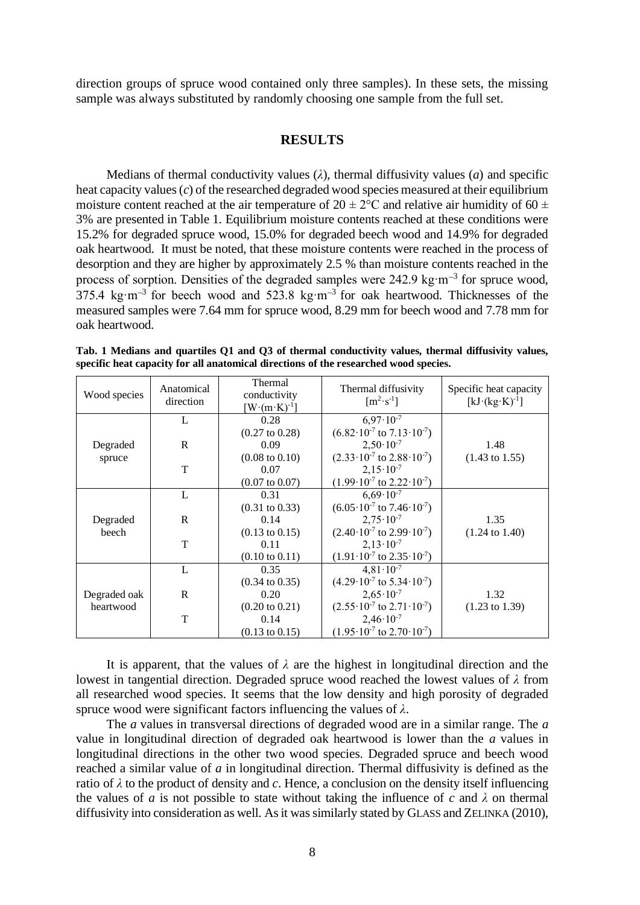direction groups of spruce wood contained only three samples). In these sets, the missing sample was always substituted by randomly choosing one sample from the full set.

#### **RESULTS**

Medians of thermal conductivity values (*λ*), thermal diffusivity values (*a*) and specific heat capacity values (*c*) of the researched degraded wood species measured at their equilibrium moisture content reached at the air temperature of  $20 \pm 2^{\circ}$ C and relative air humidity of 60  $\pm$ 3% are presented in Table 1. Equilibrium moisture contents reached at these conditions were 15.2% for degraded spruce wood, 15.0% for degraded beech wood and 14.9% for degraded oak heartwood. It must be noted, that these moisture contents were reached in the process of desorption and they are higher by approximately 2.5 % than moisture contents reached in the process of sorption. Densities of the degraded samples were 242.9 kg·m<sup>-3</sup> for spruce wood, 375.4 kg·m<sup>-3</sup> for beech wood and 523.8 kg·m<sup>-3</sup> for oak heartwood. Thicknesses of the measured samples were 7.64 mm for spruce wood, 8.29 mm for beech wood and 7.78 mm for oak heartwood.

| Wood species | Anatomical<br>direction | Thermal<br>conductivity<br>$W(m \cdot K)^{-1}$ | Thermal diffusivity<br>$\lceil m^2 \cdot s^{-1} \rceil$ | Specific heat capacity<br>$[kJ \cdot (kg \cdot K)^{-1}]$ |
|--------------|-------------------------|------------------------------------------------|---------------------------------------------------------|----------------------------------------------------------|
|              | L                       | 0.28                                           | $6,97 \cdot 10^{-7}$                                    |                                                          |
|              |                         | $(0.27 \text{ to } 0.28)$                      | $(6.82 \cdot 10^{-7} \text{ to } 7.13 \cdot 10^{-7})$   |                                                          |
| Degraded     | R                       | 0.09                                           | $2,50 \cdot 10^{-7}$                                    | 1.48                                                     |
| spruce       |                         | $(0.08 \text{ to } 0.10)$                      | $(2.33 \cdot 10^{-7} \text{ to } 2.88 \cdot 10^{-7})$   | $(1.43 \text{ to } 1.55)$                                |
|              | T                       | 0.07                                           | $2,15 \cdot 10^{-7}$                                    |                                                          |
|              |                         | $(0.07 \text{ to } 0.07)$                      | $(1.99 \cdot 10^{-7} \text{ to } 2.22 \cdot 10^{-7})$   |                                                          |
|              | L                       | 0.31                                           | $6,69 \cdot 10^{-7}$                                    |                                                          |
|              |                         | $(0.31 \text{ to } 0.33)$                      | $(6.05 \cdot 10^{-7} \text{ to } 7.46 \cdot 10^{-7})$   |                                                          |
| Degraded     | $\mathbf R$             | 0.14                                           | $2,75 \cdot 10^{-7}$                                    | 1.35                                                     |
| beech        |                         | $(0.13 \text{ to } 0.15)$                      | $(2.40 \cdot 10^{-7} \text{ to } 2.99 \cdot 10^{-7})$   | $(1.24 \text{ to } 1.40)$                                |
|              | T                       | 0.11                                           | $2,13\cdot10^{-7}$                                      |                                                          |
|              |                         | $(0.10 \text{ to } 0.11)$                      | $(1.91 \cdot 10^{-7} \text{ to } 2.35 \cdot 10^{-7})$   |                                                          |
|              | L                       | 0.35                                           | $4,81 \cdot 10^{-7}$                                    |                                                          |
|              |                         | $(0.34 \text{ to } 0.35)$                      | $(4.29 \cdot 10^{-7} \text{ to } 5.34 \cdot 10^{-7})$   |                                                          |
| Degraded oak | R                       | 0.20                                           | $2,65 \cdot 10^{-7}$                                    | 1.32                                                     |
| heartwood    |                         | $(0.20 \text{ to } 0.21)$                      | $(2.55 \cdot 10^{-7} \text{ to } 2.71 \cdot 10^{-7})$   | $(1.23 \text{ to } 1.39)$                                |
|              | T                       | 0.14                                           | $2,46 \cdot 10^{-7}$                                    |                                                          |
|              |                         | $(0.13 \text{ to } 0.15)$                      | $(1.95 \cdot 10^{-7} \text{ to } 2.70 \cdot 10^{-7})$   |                                                          |

**Tab. 1 Medians and quartiles Q1 and Q3 of thermal conductivity values, thermal diffusivity values, specific heat capacity for all anatomical directions of the researched wood species.**

It is apparent, that the values of  $\lambda$  are the highest in longitudinal direction and the lowest in tangential direction. Degraded spruce wood reached the lowest values of *λ* from all researched wood species. It seems that the low density and high porosity of degraded spruce wood were significant factors influencing the values of *λ*.

The *a* values in transversal directions of degraded wood are in a similar range. The *a*  value in longitudinal direction of degraded oak heartwood is lower than the *a* values in longitudinal directions in the other two wood species. Degraded spruce and beech wood reached a similar value of *a* in longitudinal direction. Thermal diffusivity is defined as the ratio of *λ* to the product of density and *c*. Hence, a conclusion on the density itself influencing the values of *a* is not possible to state without taking the influence of *c* and  $\lambda$  on thermal diffusivity into consideration as well. As it was similarly stated by GLASS and ZELINKA (2010),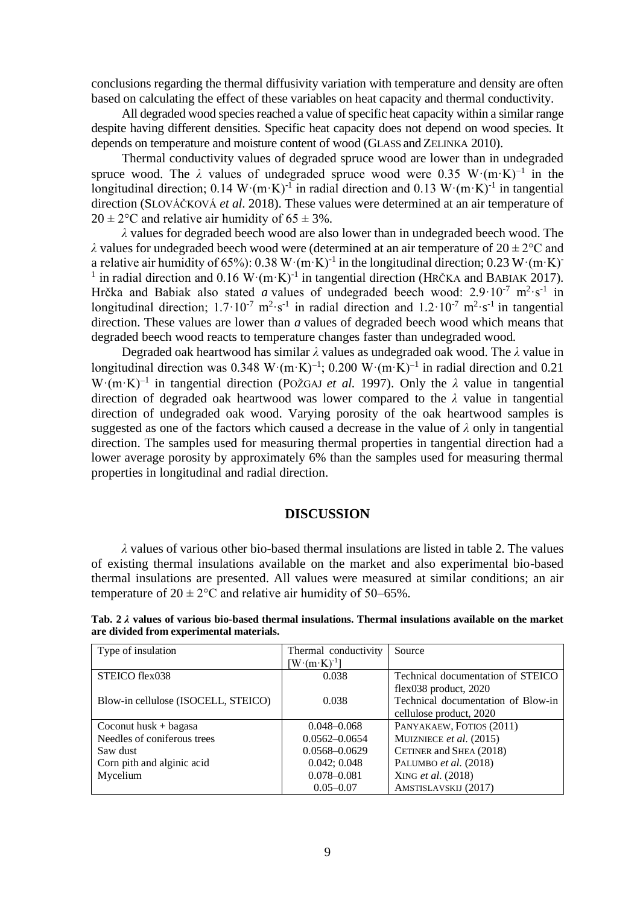conclusions regarding the thermal diffusivity variation with temperature and density are often based on calculating the effect of these variables on heat capacity and thermal conductivity.

All degraded wood species reached a value of specific heat capacity within a similar range despite having different densities. Specific heat capacity does not depend on wood species. It depends on temperature and moisture content of wood (GLASS and ZELINKA 2010).

Thermal conductivity values of degraded spruce wood are lower than in undegraded spruce wood. The  $\lambda$  values of undegraded spruce wood were 0.35 W· $(m \cdot K)^{-1}$  in the longitudinal direction;  $0.14 \text{ W} \cdot (\text{m} \cdot \text{K})^{-1}$  in radial direction and  $0.13 \text{ W} \cdot (\text{m} \cdot \text{K})^{-1}$  in tangential direction (SLOVÁČKOVÁ *et al*. 2018). These values were determined at an air temperature of  $20 \pm 2^{\circ}$ C and relative air humidity of 65  $\pm$  3%.

*λ* values for degraded beech wood are also lower than in undegraded beech wood. The *λ* values for undegraded beech wood were (determined at an air temperature of  $20 \pm 2$ °C and a relative air humidity of 65%): 0.38 W $\cdot$ (m $\cdot$ K)<sup>-1</sup> in the longitudinal direction; 0.23 W $\cdot$ (m $\cdot$ K)<sup>-</sup> <sup>1</sup> in radial direction and 0.16 W·(m·K)<sup>-1</sup> in tangential direction (HRČKA and BABIAK 2017). Hrčka and Babiak also stated *a* values of undegraded beech wood:  $2.9 \cdot 10^{-7}$  m<sup>2</sup> $\cdot$ s<sup>-1</sup> in longitudinal direction;  $1.7 \cdot 10^{-7}$  m<sup>2</sup> $\cdot$ s<sup>-1</sup> in radial direction and  $1.2 \cdot 10^{-7}$  m<sup>2</sup> $\cdot$ s<sup>-1</sup> in tangential direction. These values are lower than *a* values of degraded beech wood which means that degraded beech wood reacts to temperature changes faster than undegraded wood.

Degraded oak heartwood has similar *λ* values as undegraded oak wood. The *λ* value in longitudinal direction was 0.348 W·(m·K)<sup>-1</sup>; 0.200 W·(m·K)<sup>-1</sup> in radial direction and 0.21 W·(m·K)<sup>−</sup><sup>1</sup> in tangential direction (POŽGAJ *et al.* 1997). Only the *λ* value in tangential direction of degraded oak heartwood was lower compared to the *λ* value in tangential direction of undegraded oak wood. Varying porosity of the oak heartwood samples is suggested as one of the factors which caused a decrease in the value of *λ* only in tangential direction. The samples used for measuring thermal properties in tangential direction had a lower average porosity by approximately 6% than the samples used for measuring thermal properties in longitudinal and radial direction.

## **DISCUSSION**

*λ* values of various other bio-based thermal insulations are listed in table 2. The values of existing thermal insulations available on the market and also experimental bio-based thermal insulations are presented. All values were measured at similar conditions; an air temperature of  $20 \pm 2^{\circ}$ C and relative air humidity of 50–65%.

| Type of insulation                  | Thermal conductivity | Source                             |
|-------------------------------------|----------------------|------------------------------------|
|                                     | $W(m \cdot K)^{-1}$  |                                    |
| STEICO flex038                      | 0.038                | Technical documentation of STEICO  |
|                                     |                      | flex038 product, 2020              |
| Blow-in cellulose (ISOCELL, STEICO) | 0.038                | Technical documentation of Blow-in |
|                                     |                      | cellulose product, 2020            |
| Coconut husk $+$ bagasa             | $0.048 - 0.068$      | PANYAKAEW, FOTIOS (2011)           |
| Needles of coniferous trees         | $0.0562 - 0.0654$    | MUIZNIECE et al. (2015)            |
| Saw dust                            | $0.0568 - 0.0629$    | CETINER and SHEA (2018)            |
| Corn pith and alginic acid          | 0.042; 0.048         | PALUMBO et al. (2018)              |
| Mycelium                            | $0.078 - 0.081$      | XING et al. (2018)                 |
|                                     | $0.05 - 0.07$        | AMSTISLAVSKIJ (2017)               |

**Tab. 2** *λ* **values of various bio-based thermal insulations. Thermal insulations available on the market are divided from experimental materials.**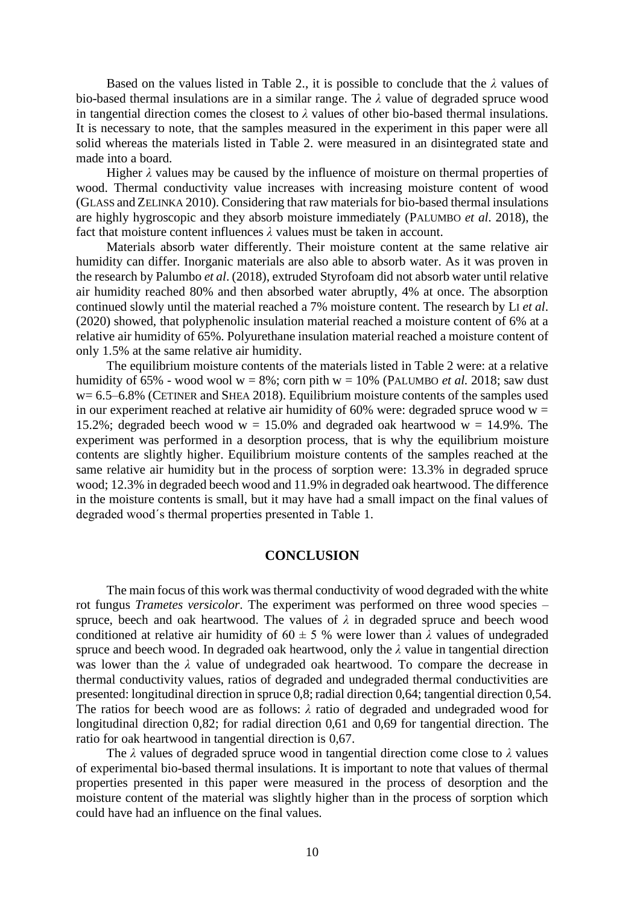Based on the values listed in Table 2., it is possible to conclude that the *λ* values of bio-based thermal insulations are in a similar range. The *λ* value of degraded spruce wood in tangential direction comes the closest to  $\lambda$  values of other bio-based thermal insulations. It is necessary to note, that the samples measured in the experiment in this paper were all solid whereas the materials listed in Table 2. were measured in an disintegrated state and made into a board.

Higher  $\lambda$  values may be caused by the influence of moisture on thermal properties of wood. Thermal conductivity value increases with increasing moisture content of wood (GLASS and ZELINKA 2010). Considering that raw materials for bio-based thermal insulations are highly hygroscopic and they absorb moisture immediately (PALUMBO *et al*. 2018), the fact that moisture content influences  $\lambda$  values must be taken in account.

Materials absorb water differently. Their moisture content at the same relative air humidity can differ. Inorganic materials are also able to absorb water. As it was proven in the research by Palumbo *et al*. (2018), extruded Styrofoam did not absorb water until relative air humidity reached 80% and then absorbed water abruptly, 4% at once. The absorption continued slowly until the material reached a 7% moisture content. The research by LI *et al*. (2020) showed, that polyphenolic insulation material reached a moisture content of 6% at a relative air humidity of 65%. Polyurethane insulation material reached a moisture content of only 1.5% at the same relative air humidity.

The equilibrium moisture contents of the materials listed in Table 2 were: at a relative humidity of  $65\%$  - wood wool w =  $8\%$ ; corn pith w =  $10\%$  (PALUMBO *et al.* 2018; saw dust  $w= 6.5-6.8\%$  (CETINER and SHEA 2018). Equilibrium moisture contents of the samples used in our experiment reached at relative air humidity of 60% were: degraded spruce wood  $w =$ 15.2%; degraded beech wood  $w = 15.0\%$  and degraded oak heartwood  $w = 14.9\%$ . The experiment was performed in a desorption process, that is why the equilibrium moisture contents are slightly higher. Equilibrium moisture contents of the samples reached at the same relative air humidity but in the process of sorption were: 13.3% in degraded spruce wood; 12.3% in degraded beech wood and 11.9% in degraded oak heartwood. The difference in the moisture contents is small, but it may have had a small impact on the final values of degraded wood´s thermal properties presented in Table 1.

#### **CONCLUSION**

The main focus of this work was thermal conductivity of wood degraded with the white rot fungus *Trametes versicolor*. The experiment was performed on three wood species – spruce, beech and oak heartwood. The values of  $\lambda$  in degraded spruce and beech wood conditioned at relative air humidity of  $60 \pm 5$  % were lower than  $\lambda$  values of undegraded spruce and beech wood. In degraded oak heartwood, only the *λ* value in tangential direction was lower than the  $\lambda$  value of undegraded oak heartwood. To compare the decrease in thermal conductivity values, ratios of degraded and undegraded thermal conductivities are presented: longitudinal direction in spruce 0,8; radial direction 0,64; tangential direction 0,54. The ratios for beech wood are as follows: *λ* ratio of degraded and undegraded wood for longitudinal direction 0,82; for radial direction 0,61 and 0,69 for tangential direction. The ratio for oak heartwood in tangential direction is 0,67.

The *λ* values of degraded spruce wood in tangential direction come close to *λ* values of experimental bio-based thermal insulations. It is important to note that values of thermal properties presented in this paper were measured in the process of desorption and the moisture content of the material was slightly higher than in the process of sorption which could have had an influence on the final values.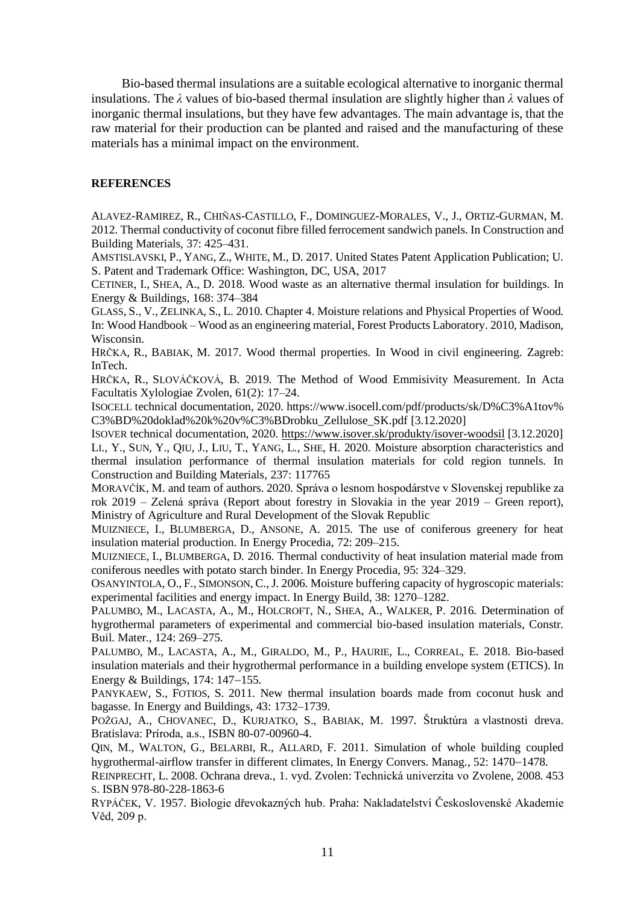Bio-based thermal insulations are a suitable ecological alternative to inorganic thermal insulations. The *λ* values of bio-based thermal insulation are slightly higher than *λ* values of inorganic thermal insulations, but they have few advantages. The main advantage is, that the raw material for their production can be planted and raised and the manufacturing of these materials has a minimal impact on the environment.

#### **REFERENCES**

ALAVEZ-RAMIREZ, R., CHIÑAS-CASTILLO, F., DOMINGUEZ-MORALES, V., J., ORTIZ-GURMAN, M. 2012. Thermal conductivity of coconut fibre filled ferrocement sandwich panels. In Construction and Building Materials, 37: 425–431.

AMSTISLAVSKI, P., YANG, Z., WHITE, M., D. 2017. United States Patent Application Publication; U. S. Patent and Trademark Office: Washington, DC, USA, 2017

CETINER, I., SHEA, A., D. 2018. Wood waste as an alternative thermal insulation for buildings. In Energy & Buildings, 168: 374–384

GLASS, S., V., ZELINKA, S., L. 2010. Chapter 4. Moisture relations and Physical Properties of Wood. In: Wood Handbook – Wood as an engineering material, Forest Products Laboratory. 2010, Madison, Wisconsin.

HRČKA, R., BABIAK, M. 2017. Wood thermal properties. In Wood in civil engineering. Zagreb: InTech.

HRČKA, R., SLOVÁČKOVÁ, B. 2019. The Method of Wood Emmisivity Measurement. In Acta Facultatis Xylologiae Zvolen, 61(2): 17–24.

ISOCELL technical documentation, 2020. https://www.isocell.com/pdf/products/sk/D%C3%A1tov% C3%BD%20doklad%20k%20v%C3%BDrobku\_Zellulose\_SK.pdf [3.12.2020]

ISOVER technical documentation, 2020.<https://www.isover.sk/produkty/isover-woodsil> [3.12.2020] LI., Y., SUN, Y., QIU, J., LIU, T., YANG, L., SHE, H. 2020. Moisture absorption characteristics and thermal insulation performance of thermal insulation materials for cold region tunnels. In Construction and Building Materials, 237: 117765

MORAVČÍK, M. and team of authors. 2020. Správa o lesnom hospodárstve v Slovenskej republike za rok 2019 – Zelená správa (Report about forestry in Slovakia in the year 2019 – Green report), Ministry of Agriculture and Rural Development of the Slovak Republic

MUIZNIECE, I., BLUMBERGA, D., ANSONE, A. 2015. The use of coniferous greenery for heat insulation material production. In Energy Procedia, 72: 209–215.

MUIZNIECE, I., BLUMBERGA, D. 2016. Thermal conductivity of heat insulation material made from coniferous needles with potato starch binder. In Energy Procedia, 95: 324–329.

OSANYINTOLA, O., F., SIMONSON, C.,J. 2006. Moisture buffering capacity of hygroscopic materials: experimental facilities and energy impact. In Energy Build, 38: 1270–1282.

PALUMBO, M., LACASTA, A., M., HOLCROFT, N., SHEA, A., WALKER, P. 2016. Determination of hygrothermal parameters of experimental and commercial bio-based insulation materials, Constr. Buil. Mater., 124: 269–275.

PALUMBO, M., LACASTA, A., M., GIRALDO, M., P., HAURIE, L., CORREAL, E. 2018. Bio-based insulation materials and their hygrothermal performance in a building envelope system (ETICS). In Energy & Buildings, 174: 147−155.

PANYKAEW, S., FOTIOS, S. 2011. New thermal insulation boards made from coconut husk and bagasse. In Energy and Buildings, 43: 1732–1739.

POŽGAJ, A., CHOVANEC, D., KURJATKO, S., BABIAK, M. 1997. Štruktúra a vlastnosti dreva. Bratislava: Príroda, a.s., ISBN 80-07-00960-4.

QIN, M., WALTON, G., BELARBI, R., ALLARD, F. 2011. Simulation of whole building coupled hygrothermal-airflow transfer in different climates, In Energy Convers. Manag., 52: 1470−1478.

REINPRECHT, L. 2008. Ochrana dreva., 1. vyd. Zvolen: Technická univerzita vo Zvolene, 2008. 453 S. ISBN 978-80-228-1863-6

RYPÁČEK, V. 1957. Biologie dřevokazných hub. Praha: Nakladatelství Československé Akademie Věd, 209 p.